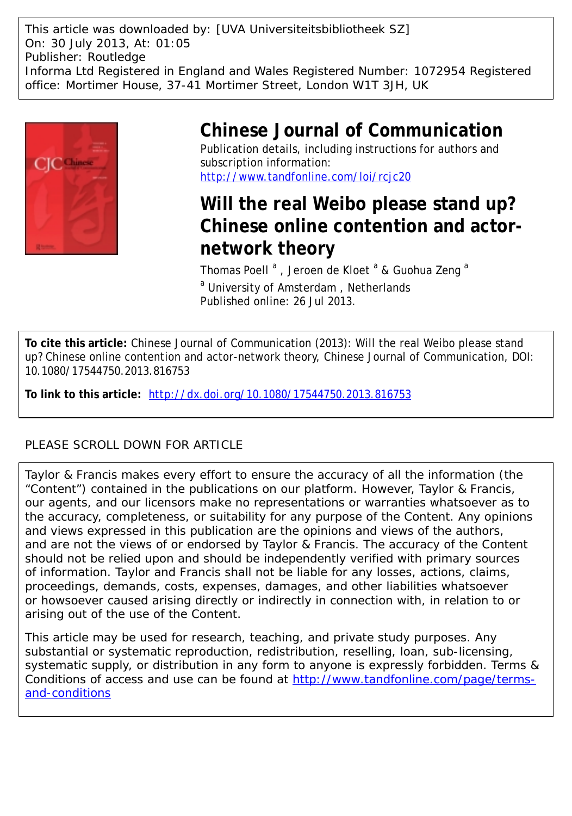This article was downloaded by: [UVA Universiteitsbibliotheek SZ] On: 30 July 2013, At: 01:05 Publisher: Routledge Informa Ltd Registered in England and Wales Registered Number: 1072954 Registered office: Mortimer House, 37-41 Mortimer Street, London W1T 3JH, UK



# **Chinese Journal of Communication**

Publication details, including instructions for authors and subscription information: <http://www.tandfonline.com/loi/rcjc20>

# **Will the real Weibo please stand up? Chinese online contention and actornetwork theory**

Thomas Poell<sup>a</sup>, Jeroen de Kloet<sup>a</sup> & Guohua Zeng<sup>a</sup> <sup>a</sup> University of Amsterdam, Netherlands Published online: 26 Jul 2013.

**To cite this article:** Chinese Journal of Communication (2013): Will the real Weibo please stand up? Chinese online contention and actor-network theory, Chinese Journal of Communication, DOI: 10.1080/17544750.2013.816753

**To link to this article:** <http://dx.doi.org/10.1080/17544750.2013.816753>

# PLEASE SCROLL DOWN FOR ARTICLE

Taylor & Francis makes every effort to ensure the accuracy of all the information (the "Content") contained in the publications on our platform. However, Taylor & Francis, our agents, and our licensors make no representations or warranties whatsoever as to the accuracy, completeness, or suitability for any purpose of the Content. Any opinions and views expressed in this publication are the opinions and views of the authors, and are not the views of or endorsed by Taylor & Francis. The accuracy of the Content should not be relied upon and should be independently verified with primary sources of information. Taylor and Francis shall not be liable for any losses, actions, claims, proceedings, demands, costs, expenses, damages, and other liabilities whatsoever or howsoever caused arising directly or indirectly in connection with, in relation to or arising out of the use of the Content.

This article may be used for research, teaching, and private study purposes. Any substantial or systematic reproduction, redistribution, reselling, loan, sub-licensing, systematic supply, or distribution in any form to anyone is expressly forbidden. Terms & Conditions of access and use can be found at [http://www.tandfonline.com/page/terms](http://www.tandfonline.com/page/terms-and-conditions)[and-conditions](http://www.tandfonline.com/page/terms-and-conditions)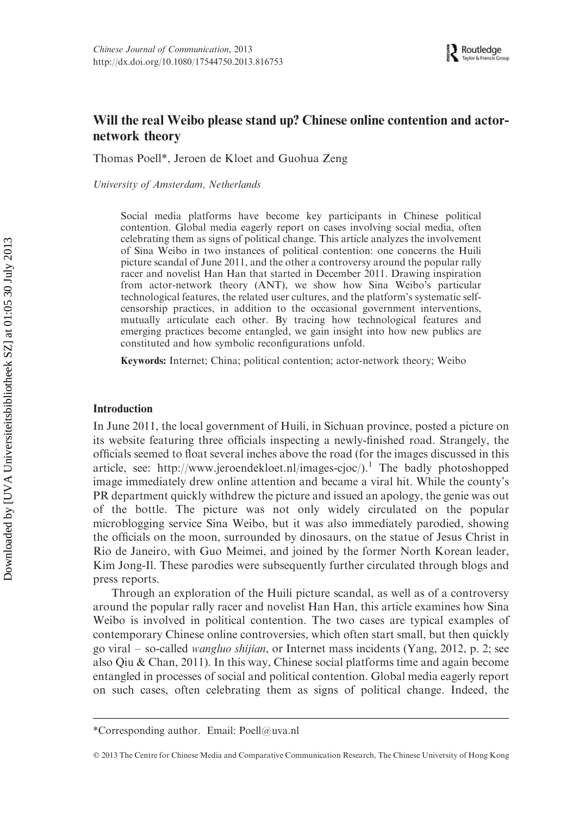# Will the real Weibo please stand up? Chinese online contention and actornetwork theory

Routledge Taylor & Francis Group

Thomas Poell\*, Jeroen de Kloet and Guohua Zeng

University of Amsterdam, Netherlands

Social media platforms have become key participants in Chinese political contention. Global media eagerly report on cases involving social media, often celebrating them as signs of political change. This article analyzes the involvement of Sina Weibo in two instances of political contention: one concerns the Huili picture scandal of June 2011, and the other a controversy around the popular rally racer and novelist Han Han that started in December 2011. Drawing inspiration from actor-network theory (ANT), we show how Sina Weibo's particular technological features, the related user cultures, and the platform's systematic selfcensorship practices, in addition to the occasional government interventions, mutually articulate each other. By tracing how technological features and emerging practices become entangled, we gain insight into how new publics are constituted and how symbolic reconfigurations unfold.

Keywords: Internet; China; political contention; actor-network theory; Weibo

## Introduction

In June 2011, the local government of Huili, in Sichuan province, posted a picture on its website featuring three officials inspecting a newly-finished road. Strangely, the officials seemed to float several inches above the road (for the images discussed in this article, see:<http://www.jeroendekloet.nl/images-cjoc/> $)$ .<sup>1</sup> The badly photoshopped image immediately drew online attention and became a viral hit. While the county's PR department quickly withdrew the picture and issued an apology, the genie was out of the bottle. The picture was not only widely circulated on the popular microblogging service Sina Weibo, but it was also immediately parodied, showing the officials on the moon, surrounded by dinosaurs, on the statue of Jesus Christ in Rio de Janeiro, with Guo Meimei, and joined by the former North Korean leader, Kim Jong-Il. These parodies were subsequently further circulated through blogs and press reports.

Through an exploration of the Huili picture scandal, as well as of a controversy around the popular rally racer and novelist Han Han, this article examines how Sina Weibo is involved in political contention. The two cases are typical examples of contemporary Chinese online controversies, which often start small, but then quickly go viral – so-called *wangluo shijian*, or Internet mass incidents (Yang, 2012, p. 2; see also Qiu & Chan, 2011). In this way, Chinese social platforms time and again become entangled in processes of social and political contention. Global media eagerly report on such cases, often celebrating them as signs of political change. Indeed, the

<sup>\*</sup>Corresponding author. Email: Poell@uva.nl

*q* 2013 The Centre for Chinese Media and Comparative Communication Research, The Chinese University of Hong Kong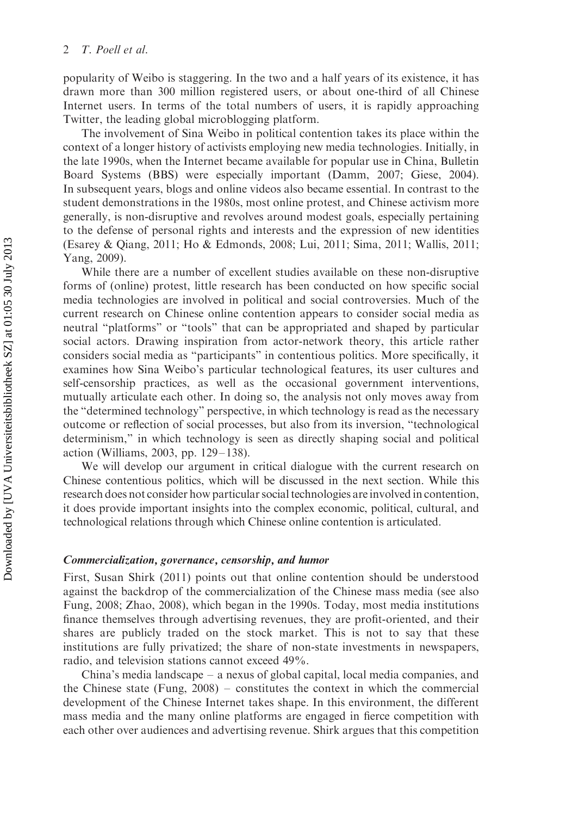popularity of Weibo is staggering. In the two and a half years of its existence, it has drawn more than 300 million registered users, or about one-third of all Chinese Internet users. In terms of the total numbers of users, it is rapidly approaching Twitter, the leading global microblogging platform.

The involvement of Sina Weibo in political contention takes its place within the context of a longer history of activists employing new media technologies. Initially, in the late 1990s, when the Internet became available for popular use in China, Bulletin Board Systems (BBS) were especially important (Damm, 2007; Giese, 2004). In subsequent years, blogs and online videos also became essential. In contrast to the student demonstrations in the 1980s, most online protest, and Chinese activism more generally, is non-disruptive and revolves around modest goals, especially pertaining to the defense of personal rights and interests and the expression of new identities (Esarey & Qiang, 2011; Ho & Edmonds, 2008; Lui, 2011; Sima, 2011; Wallis, 2011; Yang, 2009).

While there are a number of excellent studies available on these non-disruptive forms of (online) protest, little research has been conducted on how specific social media technologies are involved in political and social controversies. Much of the current research on Chinese online contention appears to consider social media as neutral "platforms" or "tools" that can be appropriated and shaped by particular social actors. Drawing inspiration from actor-network theory, this article rather considers social media as "participants" in contentious politics. More specifically, it examines how Sina Weibo's particular technological features, its user cultures and self-censorship practices, as well as the occasional government interventions, mutually articulate each other. In doing so, the analysis not only moves away from the "determined technology" perspective, in which technology is read as the necessary outcome or reflection of social processes, but also from its inversion, "technological determinism," in which technology is seen as directly shaping social and political action (Williams, 2003, pp. 129– 138).

We will develop our argument in critical dialogue with the current research on Chinese contentious politics, which will be discussed in the next section. While this research does not consider how particular social technologies are involved in contention, it does provide important insights into the complex economic, political, cultural, and technological relations through which Chinese online contention is articulated.

#### Commercialization, governance, censorship, and humor

First, Susan Shirk (2011) points out that online contention should be understood against the backdrop of the commercialization of the Chinese mass media (see also Fung, 2008; Zhao, 2008), which began in the 1990s. Today, most media institutions finance themselves through advertising revenues, they are profit-oriented, and their shares are publicly traded on the stock market. This is not to say that these institutions are fully privatized; the share of non-state investments in newspapers, radio, and television stations cannot exceed 49%.

China's media landscape – a nexus of global capital, local media companies, and the Chinese state (Fung, 2008) – constitutes the context in which the commercial development of the Chinese Internet takes shape. In this environment, the different mass media and the many online platforms are engaged in fierce competition with each other over audiences and advertising revenue. Shirk argues that this competition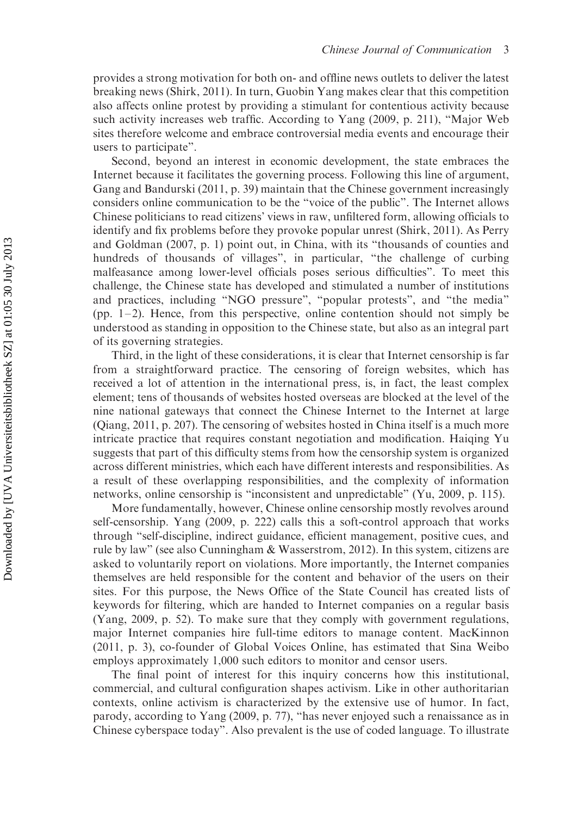provides a strong motivation for both on- and offline news outlets to deliver the latest breaking news (Shirk, 2011). In turn, Guobin Yang makes clear that this competition also affects online protest by providing a stimulant for contentious activity because such activity increases web traffic. According to Yang (2009, p. 211), "Major Web sites therefore welcome and embrace controversial media events and encourage their users to participate".

Second, beyond an interest in economic development, the state embraces the Internet because it facilitates the governing process. Following this line of argument, Gang and Bandurski (2011, p. 39) maintain that the Chinese government increasingly considers online communication to be the "voice of the public". The Internet allows Chinese politicians to read citizens' views in raw, unfiltered form, allowing officials to identify and fix problems before they provoke popular unrest (Shirk, 2011). As Perry and Goldman (2007, p. 1) point out, in China, with its "thousands of counties and hundreds of thousands of villages", in particular, "the challenge of curbing malfeasance among lower-level officials poses serious difficulties". To meet this challenge, the Chinese state has developed and stimulated a number of institutions and practices, including "NGO pressure", "popular protests", and "the media" (pp.  $1-2$ ). Hence, from this perspective, online contention should not simply be understood as standing in opposition to the Chinese state, but also as an integral part of its governing strategies.

Third, in the light of these considerations, it is clear that Internet censorship is far from a straightforward practice. The censoring of foreign websites, which has received a lot of attention in the international press, is, in fact, the least complex element; tens of thousands of websites hosted overseas are blocked at the level of the nine national gateways that connect the Chinese Internet to the Internet at large (Qiang, 2011, p. 207). The censoring of websites hosted in China itself is a much more intricate practice that requires constant negotiation and modification. Haiqing Yu suggests that part of this difficulty stems from how the censorship system is organized across different ministries, which each have different interests and responsibilities. As a result of these overlapping responsibilities, and the complexity of information networks, online censorship is "inconsistent and unpredictable" (Yu, 2009, p. 115).

More fundamentally, however, Chinese online censorship mostly revolves around self-censorship. Yang (2009, p. 222) calls this a soft-control approach that works through "self-discipline, indirect guidance, efficient management, positive cues, and rule by law" (see also Cunningham & Wasserstrom, 2012). In this system, citizens are asked to voluntarily report on violations. More importantly, the Internet companies themselves are held responsible for the content and behavior of the users on their sites. For this purpose, the News Office of the State Council has created lists of keywords for filtering, which are handed to Internet companies on a regular basis (Yang, 2009, p. 52). To make sure that they comply with government regulations, major Internet companies hire full-time editors to manage content. MacKinnon (2011, p. 3), co-founder of Global Voices Online, has estimated that Sina Weibo employs approximately 1,000 such editors to monitor and censor users.

The final point of interest for this inquiry concerns how this institutional, commercial, and cultural configuration shapes activism. Like in other authoritarian contexts, online activism is characterized by the extensive use of humor. In fact, parody, according to Yang (2009, p. 77), "has never enjoyed such a renaissance as in Chinese cyberspace today". Also prevalent is the use of coded language. To illustrate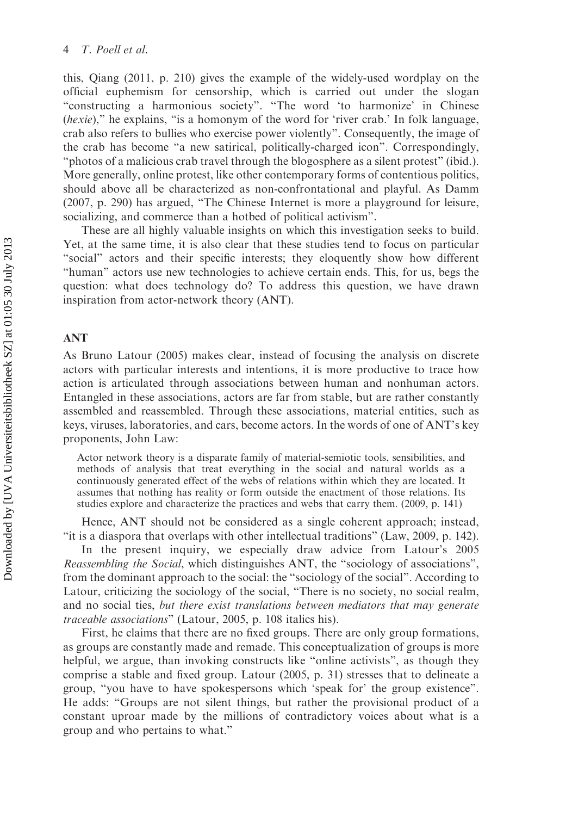this, Qiang (2011, p. 210) gives the example of the widely-used wordplay on the official euphemism for censorship, which is carried out under the slogan "constructing a harmonious society". "The word 'to harmonize' in Chinese (hexie)," he explains, "is a homonym of the word for 'river crab.' In folk language, crab also refers to bullies who exercise power violently". Consequently, the image of the crab has become "a new satirical, politically-charged icon". Correspondingly, "photos of a malicious crab travel through the blogosphere as a silent protest" (ibid.). More generally, online protest, like other contemporary forms of contentious politics, should above all be characterized as non-confrontational and playful. As Damm (2007, p. 290) has argued, "The Chinese Internet is more a playground for leisure, socializing, and commerce than a hotbed of political activism".

These are all highly valuable insights on which this investigation seeks to build. Yet, at the same time, it is also clear that these studies tend to focus on particular "social" actors and their specific interests; they eloquently show how different "human" actors use new technologies to achieve certain ends. This, for us, begs the question: what does technology do? To address this question, we have drawn inspiration from actor-network theory (ANT).

# ANT

As Bruno Latour (2005) makes clear, instead of focusing the analysis on discrete actors with particular interests and intentions, it is more productive to trace how action is articulated through associations between human and nonhuman actors. Entangled in these associations, actors are far from stable, but are rather constantly assembled and reassembled. Through these associations, material entities, such as keys, viruses, laboratories, and cars, become actors. In the words of one of ANT's key proponents, John Law:

Actor network theory is a disparate family of material-semiotic tools, sensibilities, and methods of analysis that treat everything in the social and natural worlds as a continuously generated effect of the webs of relations within which they are located. It assumes that nothing has reality or form outside the enactment of those relations. Its studies explore and characterize the practices and webs that carry them. (2009, p. 141)

Hence, ANT should not be considered as a single coherent approach; instead, "it is a diaspora that overlaps with other intellectual traditions" (Law, 2009, p. 142).

In the present inquiry, we especially draw advice from Latour's 2005 Reassembling the Social, which distinguishes ANT, the "sociology of associations", from the dominant approach to the social: the "sociology of the social". According to Latour, criticizing the sociology of the social, "There is no society, no social realm, and no social ties, but there exist translations between mediators that may generate traceable associations" (Latour, 2005, p. 108 italics his).

First, he claims that there are no fixed groups. There are only group formations, as groups are constantly made and remade. This conceptualization of groups is more helpful, we argue, than invoking constructs like "online activists", as though they comprise a stable and fixed group. Latour (2005, p. 31) stresses that to delineate a group, "you have to have spokespersons which 'speak for' the group existence". He adds: "Groups are not silent things, but rather the provisional product of a constant uproar made by the millions of contradictory voices about what is a group and who pertains to what."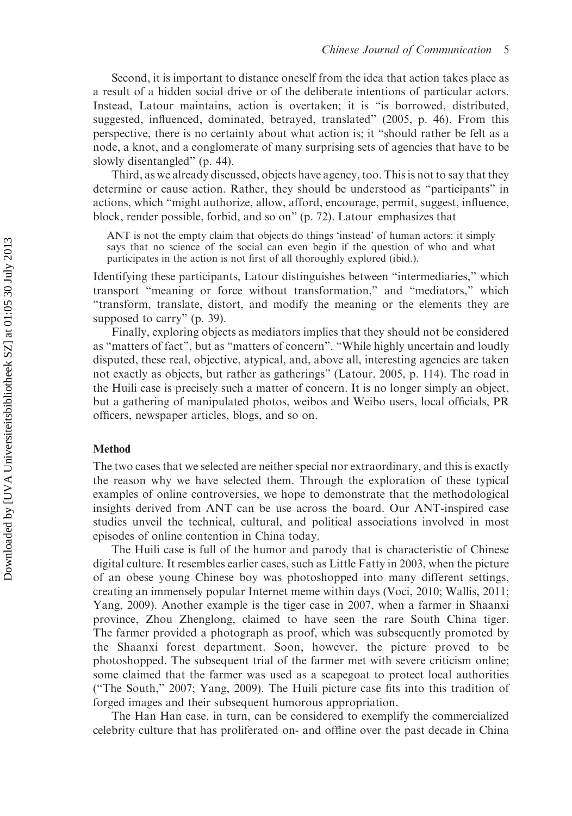Second, it is important to distance oneself from the idea that action takes place as a result of a hidden social drive or of the deliberate intentions of particular actors. Instead, Latour maintains, action is overtaken; it is "is borrowed, distributed, suggested, influenced, dominated, betrayed, translated" (2005, p. 46). From this perspective, there is no certainty about what action is; it "should rather be felt as a node, a knot, and a conglomerate of many surprising sets of agencies that have to be slowly disentangled" (p. 44).

Third, as we already discussed, objects have agency, too. This is not to say that they determine or cause action. Rather, they should be understood as "participants" in actions, which "might authorize, allow, afford, encourage, permit, suggest, influence, block, render possible, forbid, and so on" (p. 72). Latour emphasizes that

ANT is not the empty claim that objects do things 'instead' of human actors: it simply says that no science of the social can even begin if the question of who and what participates in the action is not first of all thoroughly explored (ibid.).

Identifying these participants, Latour distinguishes between "intermediaries," which transport "meaning or force without transformation," and "mediators," which "transform, translate, distort, and modify the meaning or the elements they are supposed to carry" (p. 39).

Finally, exploring objects as mediators implies that they should not be considered as "matters of fact", but as "matters of concern". "While highly uncertain and loudly disputed, these real, objective, atypical, and, above all, interesting agencies are taken not exactly as objects, but rather as gatherings" (Latour, 2005, p. 114). The road in the Huili case is precisely such a matter of concern. It is no longer simply an object, but a gathering of manipulated photos, weibos and Weibo users, local officials, PR officers, newspaper articles, blogs, and so on.

# Method

The two cases that we selected are neither special nor extraordinary, and this is exactly the reason why we have selected them. Through the exploration of these typical examples of online controversies, we hope to demonstrate that the methodological insights derived from ANT can be use across the board. Our ANT-inspired case studies unveil the technical, cultural, and political associations involved in most episodes of online contention in China today.

The Huili case is full of the humor and parody that is characteristic of Chinese digital culture. It resembles earlier cases, such as Little Fatty in 2003, when the picture of an obese young Chinese boy was photoshopped into many different settings, creating an immensely popular Internet meme within days (Voci, 2010; Wallis, 2011; Yang, 2009). Another example is the tiger case in 2007, when a farmer in Shaanxi province, Zhou Zhenglong, claimed to have seen the rare South China tiger. The farmer provided a photograph as proof, which was subsequently promoted by the Shaanxi forest department. Soon, however, the picture proved to be photoshopped. The subsequent trial of the farmer met with severe criticism online; some claimed that the farmer was used as a scapegoat to protect local authorities ("The South," 2007; Yang, 2009). The Huili picture case fits into this tradition of forged images and their subsequent humorous appropriation.

The Han Han case, in turn, can be considered to exemplify the commercialized celebrity culture that has proliferated on- and offline over the past decade in China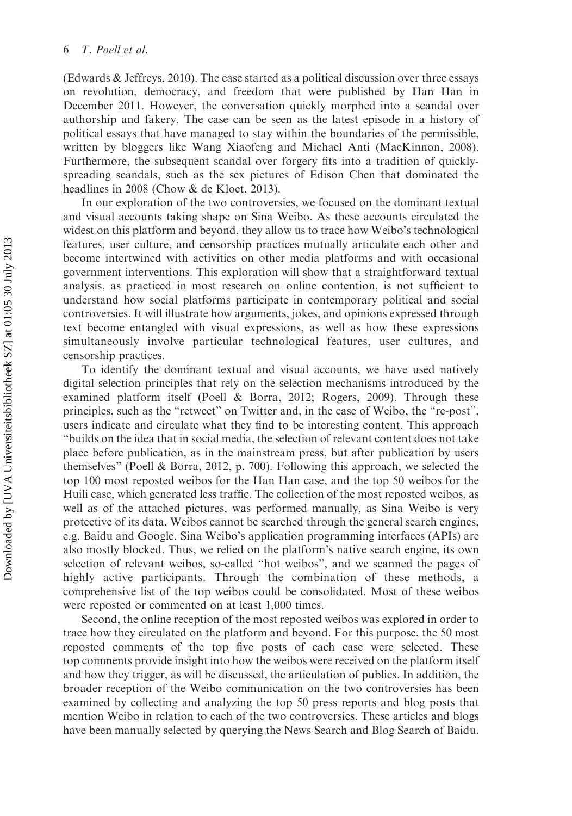(Edwards & Jeffreys, 2010). The case started as a political discussion over three essays on revolution, democracy, and freedom that were published by Han Han in December 2011. However, the conversation quickly morphed into a scandal over authorship and fakery. The case can be seen as the latest episode in a history of political essays that have managed to stay within the boundaries of the permissible, written by bloggers like Wang Xiaofeng and Michael Anti (MacKinnon, 2008). Furthermore, the subsequent scandal over forgery fits into a tradition of quicklyspreading scandals, such as the sex pictures of Edison Chen that dominated the headlines in 2008 (Chow & de Kloet, 2013).

In our exploration of the two controversies, we focused on the dominant textual and visual accounts taking shape on Sina Weibo. As these accounts circulated the widest on this platform and beyond, they allow us to trace how Weibo's technological features, user culture, and censorship practices mutually articulate each other and become intertwined with activities on other media platforms and with occasional government interventions. This exploration will show that a straightforward textual analysis, as practiced in most research on online contention, is not sufficient to understand how social platforms participate in contemporary political and social controversies. It will illustrate how arguments, jokes, and opinions expressed through text become entangled with visual expressions, as well as how these expressions simultaneously involve particular technological features, user cultures, and censorship practices.

To identify the dominant textual and visual accounts, we have used natively digital selection principles that rely on the selection mechanisms introduced by the examined platform itself (Poell & Borra, 2012; Rogers, 2009). Through these principles, such as the "retweet" on Twitter and, in the case of Weibo, the "re-post", users indicate and circulate what they find to be interesting content. This approach "builds on the idea that in social media, the selection of relevant content does not take place before publication, as in the mainstream press, but after publication by users themselves" (Poell & Borra, 2012, p. 700). Following this approach, we selected the top 100 most reposted weibos for the Han Han case, and the top 50 weibos for the Huili case, which generated less traffic. The collection of the most reposted weibos, as well as of the attached pictures, was performed manually, as Sina Weibo is very protective of its data. Weibos cannot be searched through the general search engines, e.g. Baidu and Google. Sina Weibo's application programming interfaces (APIs) are also mostly blocked. Thus, we relied on the platform's native search engine, its own selection of relevant weibos, so-called "hot weibos", and we scanned the pages of highly active participants. Through the combination of these methods, a comprehensive list of the top weibos could be consolidated. Most of these weibos were reposted or commented on at least 1,000 times.

Second, the online reception of the most reposted weibos was explored in order to trace how they circulated on the platform and beyond. For this purpose, the 50 most reposted comments of the top five posts of each case were selected. These top comments provide insight into how the weibos were received on the platform itself and how they trigger, as will be discussed, the articulation of publics. In addition, the broader reception of the Weibo communication on the two controversies has been examined by collecting and analyzing the top 50 press reports and blog posts that mention Weibo in relation to each of the two controversies. These articles and blogs have been manually selected by querying the News Search and Blog Search of [Baidu.](Baidu.com)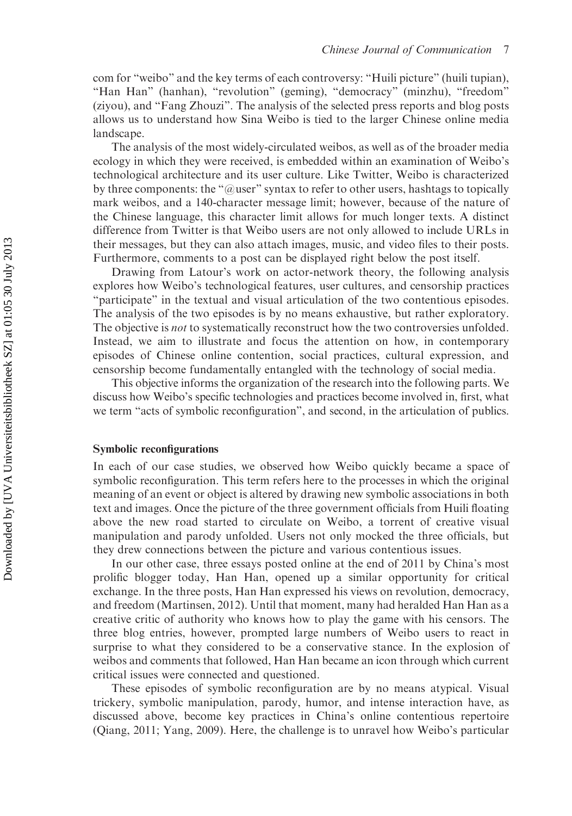[com](Baidu.com) for "weibo" and the key terms of each controversy: "Huili picture" (huili tupian), "Han Han" (hanhan), "revolution" (geming), "democracy" (minzhu), "freedom" (ziyou), and "Fang Zhouzi". The analysis of the selected press reports and blog posts allows us to understand how Sina Weibo is tied to the larger Chinese online media landscape.

The analysis of the most widely-circulated weibos, as well as of the broader media ecology in which they were received, is embedded within an examination of Weibo's technological architecture and its user culture. Like Twitter, Weibo is characterized by three components: the "@user" syntax to refer to other users, hashtags to topically mark weibos, and a 140-character message limit; however, because of the nature of the Chinese language, this character limit allows for much longer texts. A distinct difference from Twitter is that Weibo users are not only allowed to include URLs in their messages, but they can also attach images, music, and video files to their posts. Furthermore, comments to a post can be displayed right below the post itself.

Drawing from Latour's work on actor-network theory, the following analysis explores how Weibo's technological features, user cultures, and censorship practices "participate" in the textual and visual articulation of the two contentious episodes. The analysis of the two episodes is by no means exhaustive, but rather exploratory. The objective is *not* to systematically reconstruct how the two controversies unfolded. Instead, we aim to illustrate and focus the attention on how, in contemporary episodes of Chinese online contention, social practices, cultural expression, and censorship become fundamentally entangled with the technology of social media.

This objective informs the organization of the research into the following parts. We discuss how Weibo's specific technologies and practices become involved in, first, what we term "acts of symbolic reconfiguration", and second, in the articulation of publics.

### Symbolic reconfigurations

In each of our case studies, we observed how Weibo quickly became a space of symbolic reconfiguration. This term refers here to the processes in which the original meaning of an event or object is altered by drawing new symbolic associations in both text and images. Once the picture of the three government officials from Huili floating above the new road started to circulate on Weibo, a torrent of creative visual manipulation and parody unfolded. Users not only mocked the three officials, but they drew connections between the picture and various contentious issues.

In our other case, three essays posted online at the end of 2011 by China's most prolific blogger today, Han Han, opened up a similar opportunity for critical exchange. In the three posts, Han Han expressed his views on revolution, democracy, and freedom (Martinsen, 2012). Until that moment, many had heralded Han Han as a creative critic of authority who knows how to play the game with his censors. The three blog entries, however, prompted large numbers of Weibo users to react in surprise to what they considered to be a conservative stance. In the explosion of weibos and comments that followed, Han Han became an icon through which current critical issues were connected and questioned.

These episodes of symbolic reconfiguration are by no means atypical. Visual trickery, symbolic manipulation, parody, humor, and intense interaction have, as discussed above, become key practices in China's online contentious repertoire (Qiang, 2011; Yang, 2009). Here, the challenge is to unravel how Weibo's particular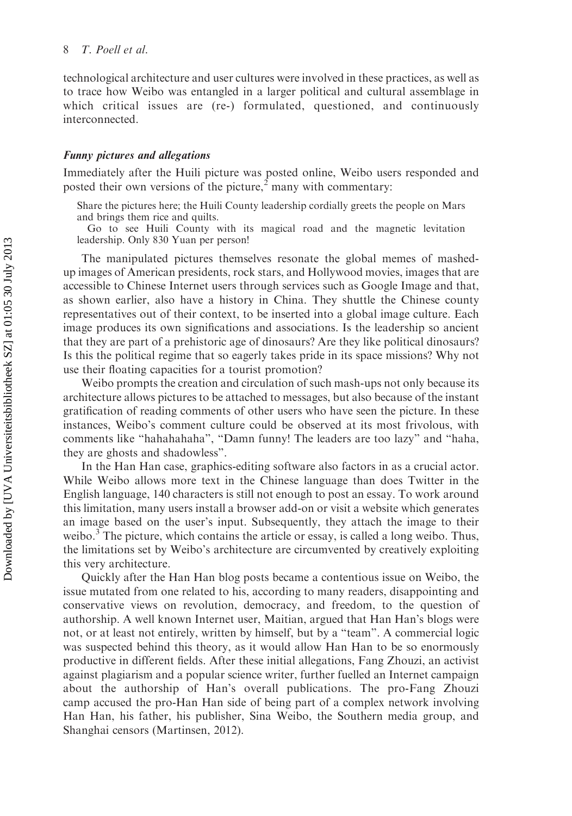technological architecture and user cultures were involved in these practices, as well as to trace how Weibo was entangled in a larger political and cultural assemblage in which critical issues are (re-) formulated, questioned, and continuously interconnected.

#### Funny pictures and allegations

Immediately after the Huili picture was posted online, Weibo users responded and posted their own versions of the picture, $\frac{2}{3}$  many with commentary:

Share the pictures here; the Huili County leadership cordially greets the people on Mars and brings them rice and quilts.

Go to see Huili County with its magical road and the magnetic levitation leadership. Only 830 Yuan per person!

The manipulated pictures themselves resonate the global memes of mashedup images of American presidents, rock stars, and Hollywood movies, images that are accessible to Chinese Internet users through services such as Google Image and that, as shown earlier, also have a history in China. They shuttle the Chinese county representatives out of their context, to be inserted into a global image culture. Each image produces its own significations and associations. Is the leadership so ancient that they are part of a prehistoric age of dinosaurs? Are they like political dinosaurs? Is this the political regime that so eagerly takes pride in its space missions? Why not use their floating capacities for a tourist promotion?

Weibo prompts the creation and circulation of such mash-ups not only because its architecture allows pictures to be attached to messages, but also because of the instant gratification of reading comments of other users who have seen the picture. In these instances, Weibo's comment culture could be observed at its most frivolous, with comments like "hahahahaha", "Damn funny! The leaders are too lazy" and "haha, they are ghosts and shadowless".

In the Han Han case, graphics-editing software also factors in as a crucial actor. While Weibo allows more text in the Chinese language than does Twitter in the English language, 140 characters is still not enough to post an essay. To work around this limitation, many users install a browser add-on or visit a website which generates an image based on the user's input. Subsequently, they attach the image to their weibo. $3$  The picture, which contains the article or essay, is called a long weibo. Thus, the limitations set by Weibo's architecture are circumvented by creatively exploiting this very architecture.

Quickly after the Han Han blog posts became a contentious issue on Weibo, the issue mutated from one related to his, according to many readers, disappointing and conservative views on revolution, democracy, and freedom, to the question of authorship. A well known Internet user, Maitian, argued that Han Han's blogs were not, or at least not entirely, written by himself, but by a "team". A commercial logic was suspected behind this theory, as it would allow Han Han to be so enormously productive in different fields. After these initial allegations, Fang Zhouzi, an activist against plagiarism and a popular science writer, further fuelled an Internet campaign about the authorship of Han's overall publications. The pro-Fang Zhouzi camp accused the pro-Han Han side of being part of a complex network involving Han Han, his father, his publisher, Sina Weibo, the Southern media group, and Shanghai censors (Martinsen, 2012).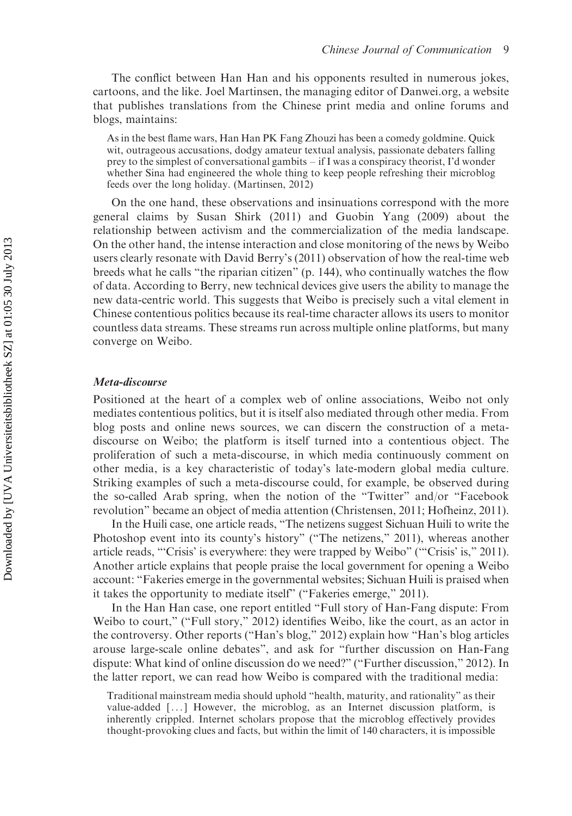The conflict between Han Han and his opponents resulted in numerous jokes, cartoons, and the like. Joel Martinsen, the managing editor of [Danwei.org,](Danwei.org) a website that publishes translations from the Chinese print media and online forums and blogs, maintains:

As in the best flame wars, Han Han PK Fang Zhouzi has been a comedy goldmine. Quick wit, outrageous accusations, dodgy amateur textual analysis, passionate debaters falling prey to the simplest of conversational gambits – if I was a conspiracy theorist, I'd wonder whether Sina had engineered the whole thing to keep people refreshing their microblog feeds over the long holiday. (Martinsen, 2012)

On the one hand, these observations and insinuations correspond with the more general claims by Susan Shirk (2011) and Guobin Yang (2009) about the relationship between activism and the commercialization of the media landscape. On the other hand, the intense interaction and close monitoring of the news by Weibo users clearly resonate with David Berry's (2011) observation of how the real-time web breeds what he calls "the riparian citizen" (p. 144), who continually watches the flow of data. According to Berry, new technical devices give users the ability to manage the new data-centric world. This suggests that Weibo is precisely such a vital element in Chinese contentious politics because its real-time character allows its users to monitor countless data streams. These streams run across multiple online platforms, but many converge on Weibo.

### Meta-discourse

Positioned at the heart of a complex web of online associations, Weibo not only mediates contentious politics, but it is itself also mediated through other media. From blog posts and online news sources, we can discern the construction of a metadiscourse on Weibo; the platform is itself turned into a contentious object. The proliferation of such a meta-discourse, in which media continuously comment on other media, is a key characteristic of today's late-modern global media culture. Striking examples of such a meta-discourse could, for example, be observed during the so-called Arab spring, when the notion of the "Twitter" and/or "Facebook revolution" became an object of media attention (Christensen, 2011; Hofheinz, 2011).

In the Huili case, one article reads, "The netizens suggest Sichuan Huili to write the Photoshop event into its county's history" ("The netizens," 2011), whereas another article reads, "'Crisis' is everywhere: they were trapped by Weibo" ('"Crisis' is," 2011). Another article explains that people praise the local government for opening a Weibo account: "Fakeries emerge in the governmental websites; Sichuan Huili is praised when it takes the opportunity to mediate itself" ("Fakeries emerge," 2011).

In the Han Han case, one report entitled "Full story of Han-Fang dispute: From Weibo to court," ("Full story," 2012) identifies Weibo, like the court, as an actor in the controversy. Other reports ("Han's blog," 2012) explain how "Han's blog articles arouse large-scale online debates", and ask for "further discussion on Han-Fang dispute: What kind of online discussion do we need?" ("Further discussion," 2012). In the latter report, we can read how Weibo is compared with the traditional media:

Traditional mainstream media should uphold "health, maturity, and rationality" as their value-added [ ... ] However, the microblog, as an Internet discussion platform, is inherently crippled. Internet scholars propose that the microblog effectively provides thought-provoking clues and facts, but within the limit of 140 characters, it is impossible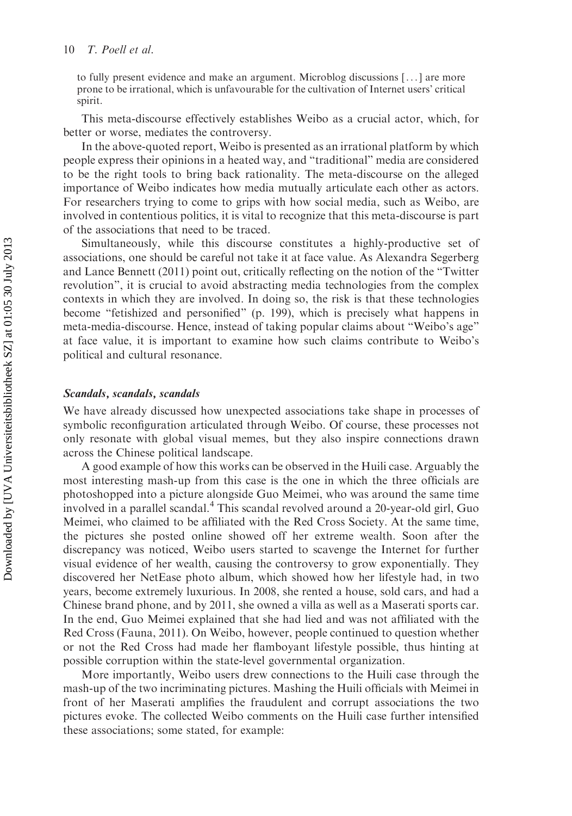to fully present evidence and make an argument. Microblog discussions [ ... ] are more prone to be irrational, which is unfavourable for the cultivation of Internet users' critical spirit.

This meta-discourse effectively establishes Weibo as a crucial actor, which, for better or worse, mediates the controversy.

In the above-quoted report, Weibo is presented as an irrational platform by which people express their opinions in a heated way, and "traditional" media are considered to be the right tools to bring back rationality. The meta-discourse on the alleged importance of Weibo indicates how media mutually articulate each other as actors. For researchers trying to come to grips with how social media, such as Weibo, are involved in contentious politics, it is vital to recognize that this meta-discourse is part of the associations that need to be traced.

Simultaneously, while this discourse constitutes a highly-productive set of associations, one should be careful not take it at face value. As Alexandra Segerberg and Lance Bennett (2011) point out, critically reflecting on the notion of the "Twitter revolution", it is crucial to avoid abstracting media technologies from the complex contexts in which they are involved. In doing so, the risk is that these technologies become "fetishized and personified" (p. 199), which is precisely what happens in meta-media-discourse. Hence, instead of taking popular claims about "Weibo's age" at face value, it is important to examine how such claims contribute to Weibo's political and cultural resonance.

#### Scandals, scandals, scandals

We have already discussed how unexpected associations take shape in processes of symbolic reconfiguration articulated through Weibo. Of course, these processes not only resonate with global visual memes, but they also inspire connections drawn across the Chinese political landscape.

A good example of how this works can be observed in the Huili case. Arguably the most interesting mash-up from this case is the one in which the three officials are photoshopped into a picture alongside Guo Meimei, who was around the same time involved in a parallel scandal.<sup>4</sup> This scandal revolved around a 20-year-old girl, Guo Meimei, who claimed to be affiliated with the Red Cross Society. At the same time, the pictures she posted online showed off her extreme wealth. Soon after the discrepancy was noticed, Weibo users started to scavenge the Internet for further visual evidence of her wealth, causing the controversy to grow exponentially. They discovered her NetEase photo album, which showed how her lifestyle had, in two years, become extremely luxurious. In 2008, she rented a house, sold cars, and had a Chinese brand phone, and by 2011, she owned a villa as well as a Maserati sports car. In the end, Guo Meimei explained that she had lied and was not affiliated with the Red Cross (Fauna, 2011). On Weibo, however, people continued to question whether or not the Red Cross had made her flamboyant lifestyle possible, thus hinting at possible corruption within the state-level governmental organization.

More importantly, Weibo users drew connections to the Huili case through the mash-up of the two incriminating pictures. Mashing the Huili officials with Meimei in front of her Maserati amplifies the fraudulent and corrupt associations the two pictures evoke. The collected Weibo comments on the Huili case further intensified these associations; some stated, for example: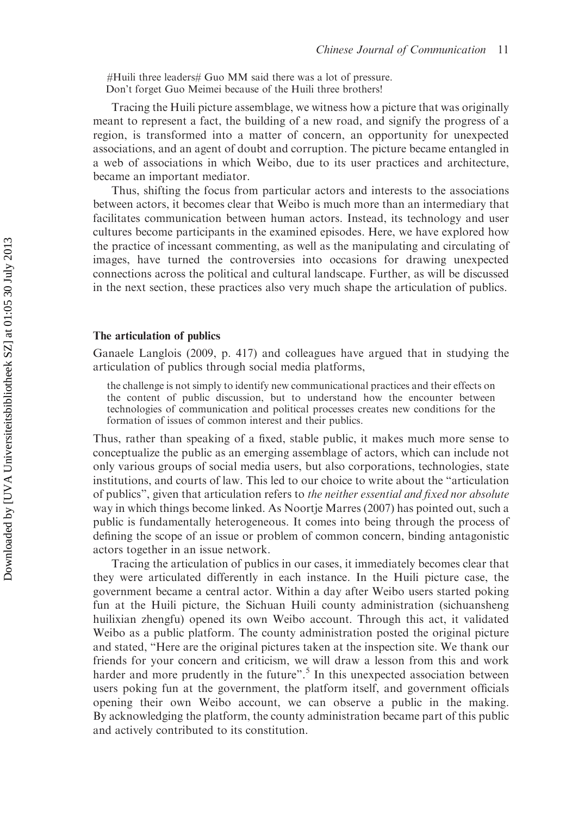#Huili three leaders# Guo MM said there was a lot of pressure. Don't forget Guo Meimei because of the Huili three brothers!

Tracing the Huili picture assemblage, we witness how a picture that was originally meant to represent a fact, the building of a new road, and signify the progress of a region, is transformed into a matter of concern, an opportunity for unexpected associations, and an agent of doubt and corruption. The picture became entangled in a web of associations in which Weibo, due to its user practices and architecture, became an important mediator.

Thus, shifting the focus from particular actors and interests to the associations between actors, it becomes clear that Weibo is much more than an intermediary that facilitates communication between human actors. Instead, its technology and user cultures become participants in the examined episodes. Here, we have explored how the practice of incessant commenting, as well as the manipulating and circulating of images, have turned the controversies into occasions for drawing unexpected connections across the political and cultural landscape. Further, as will be discussed in the next section, these practices also very much shape the articulation of publics.

# The articulation of publics

Ganaele Langlois (2009, p. 417) and colleagues have argued that in studying the articulation of publics through social media platforms,

the challenge is not simply to identify new communicational practices and their effects on the content of public discussion, but to understand how the encounter between technologies of communication and political processes creates new conditions for the formation of issues of common interest and their publics.

Thus, rather than speaking of a fixed, stable public, it makes much more sense to conceptualize the public as an emerging assemblage of actors, which can include not only various groups of social media users, but also corporations, technologies, state institutions, and courts of law. This led to our choice to write about the "articulation of publics", given that articulation refers to the neither essential and fixed nor absolute way in which things become linked. As Noortje Marres (2007) has pointed out, such a public is fundamentally heterogeneous. It comes into being through the process of defining the scope of an issue or problem of common concern, binding antagonistic actors together in an issue network.

Tracing the articulation of publics in our cases, it immediately becomes clear that they were articulated differently in each instance. In the Huili picture case, the government became a central actor. Within a day after Weibo users started poking fun at the Huili picture, the Sichuan Huili county administration (sichuansheng huilixian zhengfu) opened its own Weibo account. Through this act, it validated Weibo as a public platform. The county administration posted the original picture and stated, "Here are the original pictures taken at the inspection site. We thank our friends for your concern and criticism, we will draw a lesson from this and work harder and more prudently in the future".<sup>5</sup> In this unexpected association between users poking fun at the government, the platform itself, and government officials opening their own Weibo account, we can observe a public in the making. By acknowledging the platform, the county administration became part of this public and actively contributed to its constitution.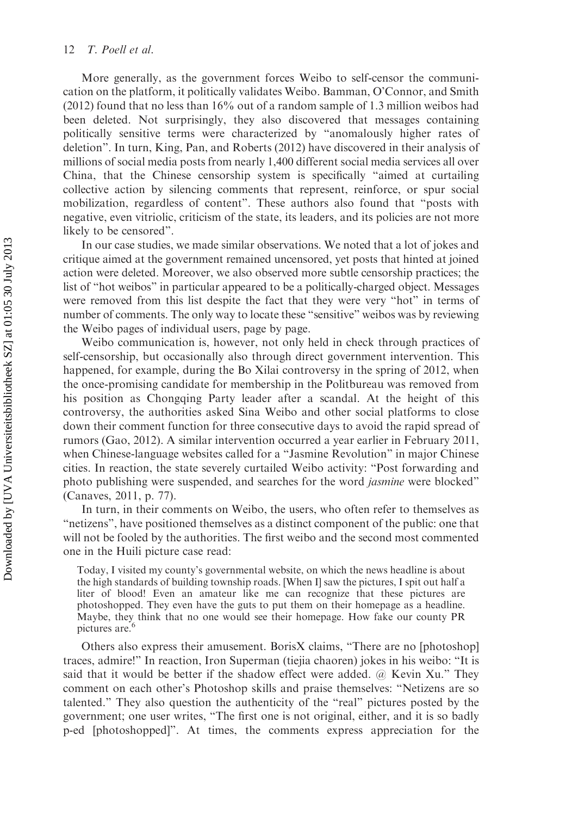More generally, as the government forces Weibo to self-censor the communication on the platform, it politically validates Weibo. Bamman, O'Connor, and Smith (2012) found that no less than 16% out of a random sample of 1.3 million weibos had been deleted. Not surprisingly, they also discovered that messages containing politically sensitive terms were characterized by "anomalously higher rates of deletion". In turn, King, Pan, and Roberts (2012) have discovered in their analysis of millions of social media posts from nearly 1,400 different social media services all over China, that the Chinese censorship system is specifically "aimed at curtailing collective action by silencing comments that represent, reinforce, or spur social mobilization, regardless of content". These authors also found that "posts with negative, even vitriolic, criticism of the state, its leaders, and its policies are not more likely to be censored".

In our case studies, we made similar observations. We noted that a lot of jokes and critique aimed at the government remained uncensored, yet posts that hinted at joined action were deleted. Moreover, we also observed more subtle censorship practices; the list of "hot weibos" in particular appeared to be a politically-charged object. Messages were removed from this list despite the fact that they were very "hot" in terms of number of comments. The only way to locate these "sensitive" weibos was by reviewing the Weibo pages of individual users, page by page.

Weibo communication is, however, not only held in check through practices of self-censorship, but occasionally also through direct government intervention. This happened, for example, during the Bo Xilai controversy in the spring of 2012, when the once-promising candidate for membership in the Politbureau was removed from his position as Chongqing Party leader after a scandal. At the height of this controversy, the authorities asked Sina Weibo and other social platforms to close down their comment function for three consecutive days to avoid the rapid spread of rumors (Gao, 2012). A similar intervention occurred a year earlier in February 2011, when Chinese-language websites called for a "Jasmine Revolution" in major Chinese cities. In reaction, the state severely curtailed Weibo activity: "Post forwarding and photo publishing were suspended, and searches for the word jasmine were blocked" (Canaves, 2011, p. 77).

In turn, in their comments on Weibo, the users, who often refer to themselves as "netizens", have positioned themselves as a distinct component of the public: one that will not be fooled by the authorities. The first weibo and the second most commented one in the Huili picture case read:

Today, I visited my county's governmental website, on which the news headline is about the high standards of building township roads. [When I] saw the pictures, I spit out half a liter of blood! Even an amateur like me can recognize that these pictures are photoshopped. They even have the guts to put them on their homepage as a headline. Maybe, they think that no one would see their homepage. How fake our county PR pictures are.<sup>6</sup>

Others also express their amusement. BorisX claims, "There are no [photoshop] traces, admire!" In reaction, Iron Superman (tiejia chaoren) jokes in his weibo: "It is said that it would be better if the shadow effect were added. @ Kevin Xu." They comment on each other's Photoshop skills and praise themselves: "Netizens are so talented." They also question the authenticity of the "real" pictures posted by the government; one user writes, "The first one is not original, either, and it is so badly p-ed [photoshopped]". At times, the comments express appreciation for the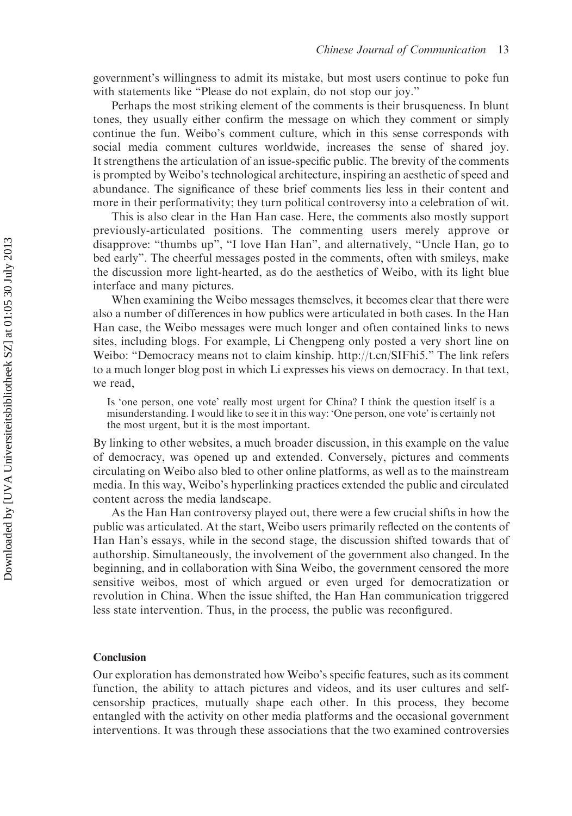government's willingness to admit its mistake, but most users continue to poke fun with statements like "Please do not explain, do not stop our joy."

Perhaps the most striking element of the comments is their brusqueness. In blunt tones, they usually either confirm the message on which they comment or simply continue the fun. Weibo's comment culture, which in this sense corresponds with social media comment cultures worldwide, increases the sense of shared joy. It strengthens the articulation of an issue-specific public. The brevity of the comments is prompted by Weibo's technological architecture, inspiring an aesthetic of speed and abundance. The significance of these brief comments lies less in their content and more in their performativity; they turn political controversy into a celebration of wit.

This is also clear in the Han Han case. Here, the comments also mostly support previously-articulated positions. The commenting users merely approve or disapprove: "thumbs up", "I love Han Han", and alternatively, "Uncle Han, go to bed early". The cheerful messages posted in the comments, often with smileys, make the discussion more light-hearted, as do the aesthetics of Weibo, with its light blue interface and many pictures.

When examining the Weibo messages themselves, it becomes clear that there were also a number of differences in how publics were articulated in both cases. In the Han Han case, the Weibo messages were much longer and often contained links to news sites, including blogs. For example, Li Chengpeng only posted a very short line on Weibo: "Democracy means not to claim kinship.<http://t.cn/SIFhi5>." The link refers to a much longer blog post in which Li expresses his views on democracy. In that text, we read,

Is 'one person, one vote' really most urgent for China? I think the question itself is a misunderstanding. I would like to see it in this way: 'One person, one vote' is certainly not the most urgent, but it is the most important.

By linking to other websites, a much broader discussion, in this example on the value of democracy, was opened up and extended. Conversely, pictures and comments circulating on Weibo also bled to other online platforms, as well as to the mainstream media. In this way, Weibo's hyperlinking practices extended the public and circulated content across the media landscape.

As the Han Han controversy played out, there were a few crucial shifts in how the public was articulated. At the start, Weibo users primarily reflected on the contents of Han Han's essays, while in the second stage, the discussion shifted towards that of authorship. Simultaneously, the involvement of the government also changed. In the beginning, and in collaboration with Sina Weibo, the government censored the more sensitive weibos, most of which argued or even urged for democratization or revolution in China. When the issue shifted, the Han Han communication triggered less state intervention. Thus, in the process, the public was reconfigured.

#### Conclusion

Our exploration has demonstrated how Weibo's specific features, such as its comment function, the ability to attach pictures and videos, and its user cultures and selfcensorship practices, mutually shape each other. In this process, they become entangled with the activity on other media platforms and the occasional government interventions. It was through these associations that the two examined controversies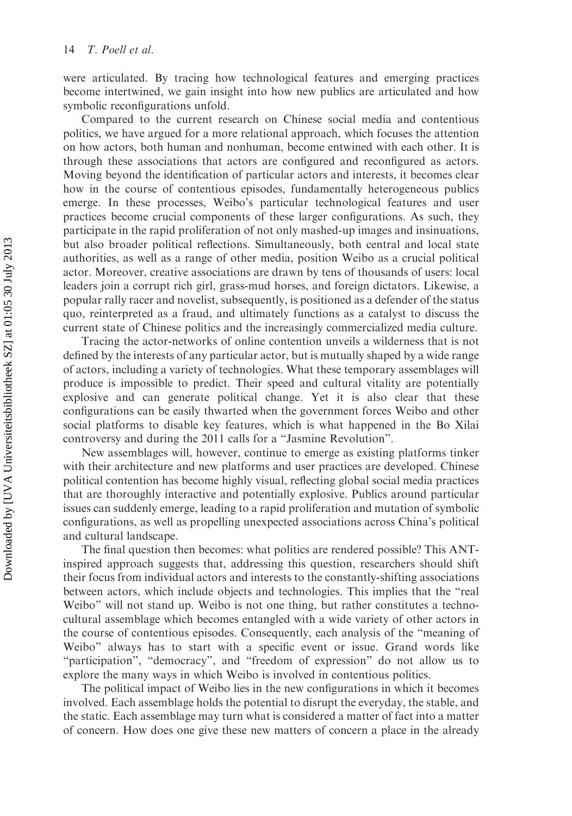were articulated. By tracing how technological features and emerging practices become intertwined, we gain insight into how new publics are articulated and how symbolic reconfigurations unfold.

Compared to the current research on Chinese social media and contentious politics, we have argued for a more relational approach, which focuses the attention on how actors, both human and nonhuman, become entwined with each other. It is through these associations that actors are configured and reconfigured as actors. Moving beyond the identification of particular actors and interests, it becomes clear how in the course of contentious episodes, fundamentally heterogeneous publics emerge. In these processes, Weibo's particular technological features and user practices become crucial components of these larger configurations. As such, they participate in the rapid proliferation of not only mashed-up images and insinuations, but also broader political reflections. Simultaneously, both central and local state authorities, as well as a range of other media, position Weibo as a crucial political actor. Moreover, creative associations are drawn by tens of thousands of users: local leaders join a corrupt rich girl, grass-mud horses, and foreign dictators. Likewise, a popular rally racer and novelist, subsequently, is positioned as a defender of the status quo, reinterpreted as a fraud, and ultimately functions as a catalyst to discuss the current state of Chinese politics and the increasingly commercialized media culture.

Tracing the actor-networks of online contention unveils a wilderness that is not defined by the interests of any particular actor, but is mutually shaped by a wide range of actors, including a variety of technologies. What these temporary assemblages will produce is impossible to predict. Their speed and cultural vitality are potentially explosive and can generate political change. Yet it is also clear that these configurations can be easily thwarted when the government forces Weibo and other social platforms to disable key features, which is what happened in the Bo Xilai controversy and during the 2011 calls for a "Jasmine Revolution".

New assemblages will, however, continue to emerge as existing platforms tinker with their architecture and new platforms and user practices are developed. Chinese political contention has become highly visual, reflecting global social media practices that are thoroughly interactive and potentially explosive. Publics around particular issues can suddenly emerge, leading to a rapid proliferation and mutation of symbolic configurations, as well as propelling unexpected associations across China's political and cultural landscape.

The final question then becomes: what politics are rendered possible? This ANTinspired approach suggests that, addressing this question, researchers should shift their focus from individual actors and interests to the constantly-shifting associations between actors, which include objects and technologies. This implies that the "real Weibo" will not stand up. Weibo is not one thing, but rather constitutes a technocultural assemblage which becomes entangled with a wide variety of other actors in the course of contentious episodes. Consequently, each analysis of the "meaning of Weibo" always has to start with a specific event or issue. Grand words like "participation", "democracy", and "freedom of expression" do not allow us to explore the many ways in which Weibo is involved in contentious politics.

The political impact of Weibo lies in the new configurations in which it becomes involved. Each assemblage holds the potential to disrupt the everyday, the stable, and the static. Each assemblage may turn what is considered a matter of fact into a matter of concern. How does one give these new matters of concern a place in the already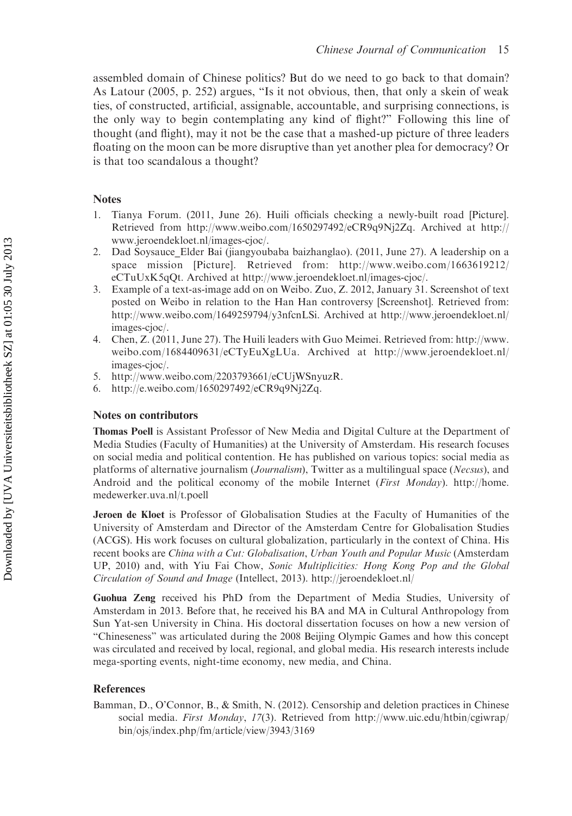assembled domain of Chinese politics? But do we need to go back to that domain? As Latour (2005, p. 252) argues, "Is it not obvious, then, that only a skein of weak ties, of constructed, artificial, assignable, accountable, and surprising connections, is the only way to begin contemplating any kind of flight?" Following this line of thought (and flight), may it not be the case that a mashed-up picture of three leaders floating on the moon can be more disruptive than yet another plea for democracy? Or is that too scandalous a thought?

## Notes

- 1. Tianya Forum. (2011, June 26). Huili officials checking a newly-built road [Picture]. Retrieved from http://www.weibo.com/1650297492/eCR9q9Nj2Zq. Archived at http:// www.jeroendekloet.nl/images-cjoc/.
- 2. Dad Soysauce\_Elder Bai (jiangyoubaba baizhanglao). (2011, June 27). A leadership on a space mission [Picture]. Retrieved from: http://www.weibo.com/1663619212/ eCTuUxK5qQt. Archived at http://www.jeroendekloet.nl/images-cjoc/.
- 3. Example of a text-as-image add on on Weibo. Zuo, Z. 2012, January 31. Screenshot of text posted on Weibo in relation to the Han Han controversy [Screenshot]. Retrieved from: http://www.weibo.com/1649259794/y3nfcnLSi. Archived at http://www.jeroendekloet.nl/ images-cjoc/.
- 4. Chen, Z. (2011, June 27). The Huili leaders with Guo Meimei. Retrieved from: http://www. weibo.com/1684409631/eCTyEuXgLUa. Archived at http://www.jeroendekloet.nl/ images-cjoc/.
- 5. http://www.weibo.com/2203793661/eCUjWSnyuzR.
- 6. http://e.weibo.com/1650297492/eCR9q9Nj2Zq.

#### Notes on contributors

Thomas Poell is Assistant Professor of New Media and Digital Culture at the Department of Media Studies (Faculty of Humanities) at the University of Amsterdam. His research focuses on social media and political contention. He has published on various topics: social media as platforms of alternative journalism (Journalism), Twitter as a multilingual space (Necsus), and Android and the political economy of the mobile Internet (First Monday). [http://home.](http://home.medewerker.uva.nl/t.poell) [medewerker.uva.nl/t.poell](http://home.medewerker.uva.nl/t.poell)

Jeroen de Kloet is Professor of Globalisation Studies at the Faculty of Humanities of the University of Amsterdam and Director of the Amsterdam Centre for Globalisation Studies (ACGS). His work focuses on cultural globalization, particularly in the context of China. His recent books are China with a Cut: Globalisation, Urban Youth and Popular Music (Amsterdam UP, 2010) and, with Yiu Fai Chow, Sonic Multiplicities: Hong Kong Pop and the Global Circulation of Sound and Image (Intellect, 2013).<http://jeroendekloet.nl/>

Guohua Zeng received his PhD from the Department of Media Studies, University of Amsterdam in 2013. Before that, he received his BA and MA in Cultural Anthropology from Sun Yat-sen University in China. His doctoral dissertation focuses on how a new version of "Chineseness" was articulated during the 2008 Beijing Olympic Games and how this concept was circulated and received by local, regional, and global media. His research interests include mega-sporting events, night-time economy, new media, and China.

#### References

Bamman, D., O'Connor, B., & Smith, N. (2012). Censorship and deletion practices in Chinese social media. First Monday, 17(3). Retrieved from [http://www.uic.edu/htbin/cgiwrap/](http://www.uic.edu/htbin/cgiwrap/bin/ojs/index.php/fm/article/view/3943/3169) [bin/ojs/index.php/fm/article/view/3943/3169](http://www.uic.edu/htbin/cgiwrap/bin/ojs/index.php/fm/article/view/3943/3169)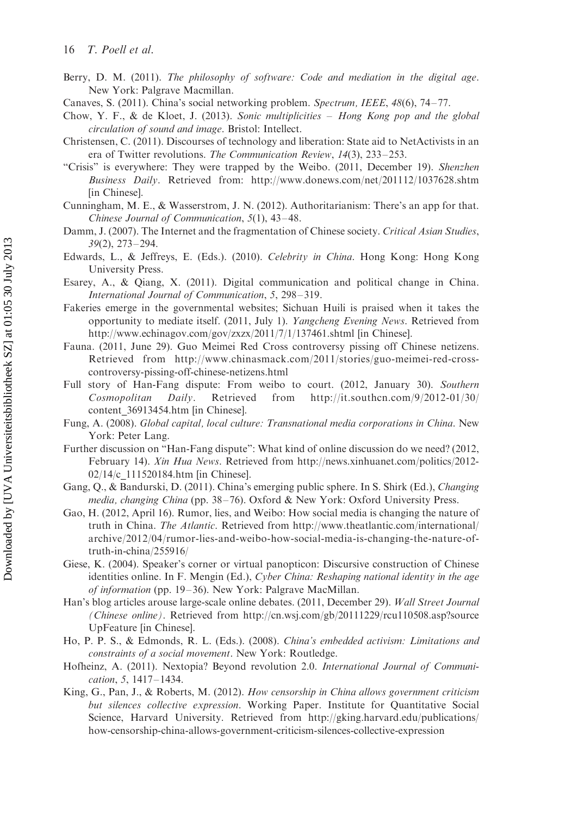- Berry, D. M. (2011). The philosophy of software: Code and mediation in the digital age. New York: Palgrave Macmillan.
- Canaves, S. (2011). China's social networking problem. Spectrum, IEEE, 48(6), 74–77.
- Chow, Y. F., & de Kloet, J. (2013). Sonic multiplicities  $-$  Hong Kong pop and the global circulation of sound and image. Bristol: Intellect.
- Christensen, C. (2011). Discourses of technology and liberation: State aid to NetActivists in an era of Twitter revolutions. The Communication Review, 14(3), 233– 253.
- "Crisis" is everywhere: They were trapped by the Weibo. (2011, December 19). Shenzhen Business Daily. Retrieved from:<http://www.donews.com/net/201112/1037628.shtm> [in Chinese].
- Cunningham, M. E., & Wasserstrom, J. N. (2012). Authoritarianism: There's an app for that. Chinese Journal of Communication, 5(1), 43 – 48.
- Damm, J. (2007). The Internet and the fragmentation of Chinese society. Critical Asian Studies, 39(2), 273– 294.
- Edwards, L., & Jeffreys, E. (Eds.). (2010). Celebrity in China. Hong Kong: Hong Kong University Press.
- Esarey, A., & Qiang, X. (2011). Digital communication and political change in China. International Journal of Communication, 5, 298-319.
- Fakeries emerge in the governmental websites; Sichuan Huili is praised when it takes the opportunity to mediate itself. (2011, July 1). Yangcheng Evening News. Retrieved from <http://www.echinagov.com/gov/zxzx/2011/7/1/137461.shtml> [in Chinese].
- Fauna. (2011, June 29). Guo Meimei Red Cross controversy pissing off Chinese netizens. Retrieved from [http://www.chinasmack.com/2011/stories/guo-meimei-red-cross](http://www.chinasmack.com/2011/stories/guo-meimei-red-cross-controversy-pissing-off-chinese-netizens.html)[controversy-pissing-off-chinese-netizens.html](http://www.chinasmack.com/2011/stories/guo-meimei-red-cross-controversy-pissing-off-chinese-netizens.html)
- Full story of Han-Fang dispute: From weibo to court. (2012, January 30). Southern Cosmopolitan Daily. Retrieved from [http://it.southcn.com/9/2012-01/30/](http://it.southcn.com/9/2012-01/30/content_36913454.htm) content 36913454.htm [in Chinese].
- Fung, A. (2008). Global capital, local culture: Transnational media corporations in China. New York: Peter Lang.
- Further discussion on "Han-Fang dispute": What kind of online discussion do we need? (2012, February 14). Xin Hua News. Retrieved from [http://news.xinhuanet.com/politics/2012-](http://news.xinhuanet.com/politics/2012-02/14/c_111520184.htm) 02/14/c 111520184.htm [in Chinese].
- Gang, Q., & Bandurski, D. (2011). China's emerging public sphere. In S. Shirk (Ed.), Changing media, changing China (pp.  $38-76$ ). Oxford & New York: Oxford University Press.
- Gao, H. (2012, April 16). Rumor, lies, and Weibo: How social media is changing the nature of truth in China. The Atlantic. Retrieved from [http://www.theatlantic.com/international/](http://www.theatlantic.com/international/archive/2012/04/rumor-lies-and-weibo-how-social-media-is-changing-the-nature-of-truth-in-china/255916/) [archive/2012/04/rumor-lies-and-weibo-how-social-media-is-changing-the-nature-of](http://www.theatlantic.com/international/archive/2012/04/rumor-lies-and-weibo-how-social-media-is-changing-the-nature-of-truth-in-china/255916/)[truth-in-china/255916/](http://www.theatlantic.com/international/archive/2012/04/rumor-lies-and-weibo-how-social-media-is-changing-the-nature-of-truth-in-china/255916/)
- Giese, K. (2004). Speaker's corner or virtual panopticon: Discursive construction of Chinese identities online. In F. Mengin (Ed.), Cyber China: Reshaping national identity in the age of information (pp. 19 – 36). New York: Palgrave MacMillan.
- Han's blog articles arouse large-scale online debates. (2011, December 29). Wall Street Journal (Chinese online). Retrieved from [http://cn.wsj.com/gb/20111229/rcu110508.asp?source](http://cn.wsj.com/gb/20111229/rcu110508.asp?source=UpFeature) [UpFeature](http://cn.wsj.com/gb/20111229/rcu110508.asp?source=UpFeature) [in Chinese].
- Ho, P. P. S., & Edmonds, R. L. (Eds.). (2008). China's embedded activism: Limitations and constraints of a social movement. New York: Routledge.
- Hofheinz, A. (2011). Nextopia? Beyond revolution 2.0. International Journal of Communication, 5, 1417– 1434.
- King, G., Pan, J., & Roberts, M. (2012). How censorship in China allows government criticism but silences collective expression. Working Paper. Institute for Quantitative Social Science, Harvard University. Retrieved from [http://gking.harvard.edu/publications/](http://gking.harvard.edu/publications/how-censorship-china-allows-government-criticism-silences-collective-expression) [how-censorship-china-allows-government-criticism-silences-collective-expression](http://gking.harvard.edu/publications/how-censorship-china-allows-government-criticism-silences-collective-expression)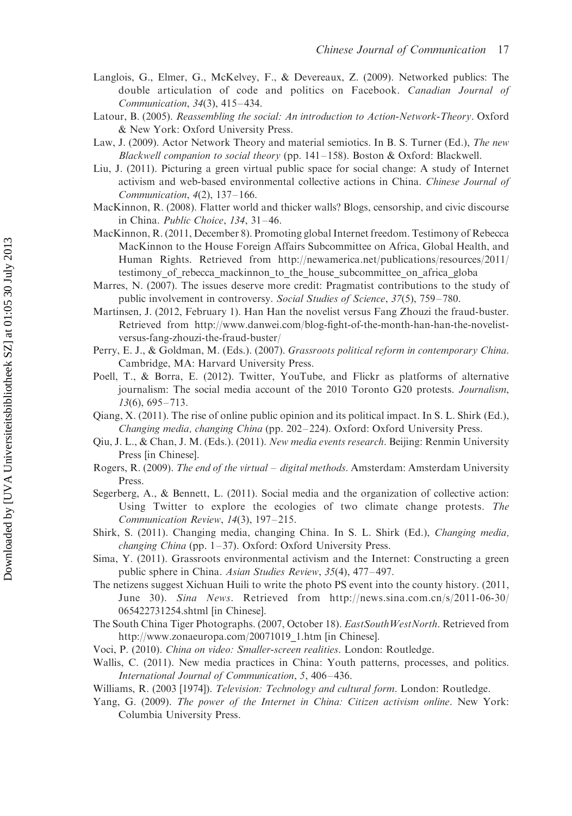- Langlois, G., Elmer, G., McKelvey, F., & Devereaux, Z. (2009). Networked publics: The double articulation of code and politics on Facebook. Canadian Journal of Communication, 34(3), 415-434.
- Latour, B. (2005). Reassembling the social: An introduction to Action-Network-Theory. Oxford & New York: Oxford University Press.
- Law, J. (2009). Actor Network Theory and material semiotics. In B. S. Turner (Ed.), The new Blackwell companion to social theory (pp. 141-158). Boston & Oxford: Blackwell.
- Liu, J. (2011). Picturing a green virtual public space for social change: A study of Internet activism and web-based environmental collective actions in China. Chinese Journal of Communication, 4(2), 137– 166.
- MacKinnon, R. (2008). Flatter world and thicker walls? Blogs, censorship, and civic discourse in China. *Public Choice*, 134, 31-46.
- MacKinnon, R. (2011, December 8). Promoting global Internet freedom. Testimony of Rebecca MacKinnon to the House Foreign Affairs Subcommittee on Africa, Global Health, and Human Rights. Retrieved from [http://newamerica.net/publications/resources/2011/](http://newamerica.net/publications/resources/2011/testimony_of_rebecca_mackinnon_to_the_house_subcommittee_on_africa_globa) testimony of rebecca mackinnon to the house subcommittee on africa globa
- Marres, N. (2007). The issues deserve more credit: Pragmatist contributions to the study of public involvement in controversy. Social Studies of Science, 37(5), 759– 780.
- Martinsen, J. (2012, February 1). Han Han the novelist versus Fang Zhouzi the fraud-buster. Retrieved from [http://www.danwei.com/blog-fight-of-the-month-han-han-the-novelist](http://www.danwei.com/blog-fight-of-the-month-han-han-the-novelist-versus-fang-zhouzi-the-fraud-buster/)[versus-fang-zhouzi-the-fraud-buster/](http://www.danwei.com/blog-fight-of-the-month-han-han-the-novelist-versus-fang-zhouzi-the-fraud-buster/)
- Perry, E. J., & Goldman, M. (Eds.). (2007). Grassroots political reform in contemporary China. Cambridge, MA: Harvard University Press.
- Poell, T., & Borra, E. (2012). Twitter, YouTube, and Flickr as platforms of alternative journalism: The social media account of the 2010 Toronto G20 protests. Journalism,  $13(6)$ , 695-713.
- Qiang, X. (2011). The rise of online public opinion and its political impact. In S. L. Shirk (Ed.), Changing media, changing China (pp. 202– 224). Oxford: Oxford University Press.
- Qiu, J. L., & Chan, J. M. (Eds.). (2011). New media events research. Beijing: Renmin University Press [in Chinese].
- Rogers, R. (2009). The end of the virtual digital methods. Amsterdam: Amsterdam University Press.
- Segerberg, A., & Bennett, L. (2011). Social media and the organization of collective action: Using Twitter to explore the ecologies of two climate change protests. The Communication Review,  $14(3)$ ,  $197-215$ .
- Shirk, S. (2011). Changing media, changing China. In S. L. Shirk (Ed.), Changing media, changing China (pp.  $1-37$ ). Oxford: Oxford University Press.
- Sima, Y. (2011). Grassroots environmental activism and the Internet: Constructing a green public sphere in China. Asian Studies Review, 35(4), 477– 497.
- The netizens suggest Xichuan Huili to write the photo PS event into the county history. (2011, June 30). Sina News. Retrieved from [http://news.sina.com.cn/s/2011-06-30/](http://news.sina.com.cn/s/2011-06-30/065422731254.shtml) [065422731254.shtml](http://news.sina.com.cn/s/2011-06-30/065422731254.shtml) [in Chinese].
- The South China Tiger Photographs. (2007, October 18). EastSouthWestNorth. Retrieved from [http://www.zonaeuropa.com/20071019\\_1.htm](http://www.zonaeuropa.com/20071019_1.htm) [in Chinese].
- Voci, P. (2010). China on video: Smaller-screen realities. London: Routledge.
- Wallis, C. (2011). New media practices in China: Youth patterns, processes, and politics. International Journal of Communication, 5, 406-436.
- Williams, R. (2003 [1974]). Television: Technology and cultural form. London: Routledge.
- Yang, G. (2009). The power of the Internet in China: Citizen activism online. New York: Columbia University Press.